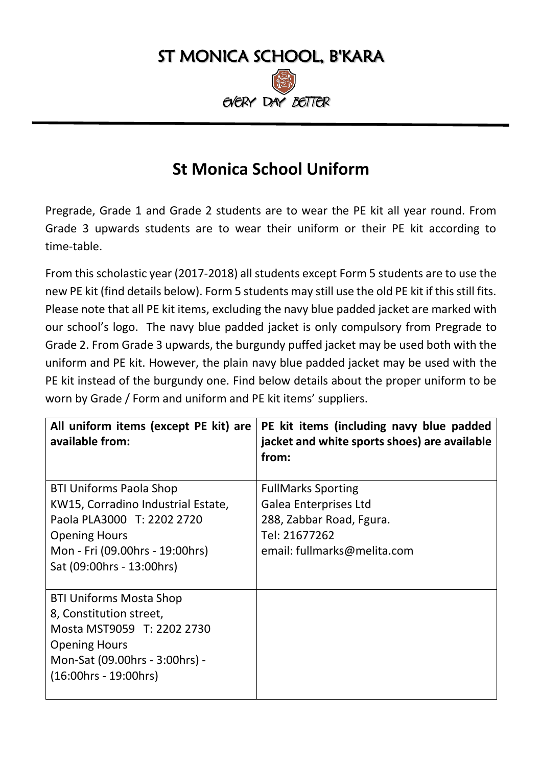

## **St Monica School Uniform**

Pregrade, Grade 1 and Grade 2 students are to wear the PE kit all year round. From Grade 3 upwards students are to wear their uniform or their PE kit according to time-table.

From this scholastic year (2017-2018) all students except Form 5 students are to use the new PE kit (find details below). Form 5 students may still use the old PE kit if this still fits. Please note that all PE kit items, excluding the navy blue padded jacket are marked with our school's logo. The navy blue padded jacket is only compulsory from Pregrade to Grade 2. From Grade 3 upwards, the burgundy puffed jacket may be used both with the uniform and PE kit. However, the plain navy blue padded jacket may be used with the PE kit instead of the burgundy one. Find below details about the proper uniform to be worn by Grade / Form and uniform and PE kit items' suppliers.

| All uniform items (except PE kit) are<br>available from: | PE kit items (including navy blue padded<br>jacket and white sports shoes) are available<br>from: |
|----------------------------------------------------------|---------------------------------------------------------------------------------------------------|
| <b>BTI Uniforms Paola Shop</b>                           | <b>FullMarks Sporting</b>                                                                         |
| KW15, Corradino Industrial Estate,                       | <b>Galea Enterprises Ltd</b>                                                                      |
| Paola PLA3000 T: 2202 2720                               | 288, Zabbar Road, Fgura.                                                                          |
| <b>Opening Hours</b>                                     | Tel: 21677262                                                                                     |
| Mon - Fri (09.00hrs - 19:00hrs)                          | email: fullmarks@melita.com                                                                       |
| Sat (09:00hrs - 13:00hrs)                                |                                                                                                   |
| <b>BTI Uniforms Mosta Shop</b>                           |                                                                                                   |
| 8, Constitution street,                                  |                                                                                                   |
| Mosta MST9059 T: 2202 2730                               |                                                                                                   |
| <b>Opening Hours</b>                                     |                                                                                                   |
| Mon-Sat (09.00hrs - 3:00hrs) -                           |                                                                                                   |
| (16:00hrs - 19:00hrs)                                    |                                                                                                   |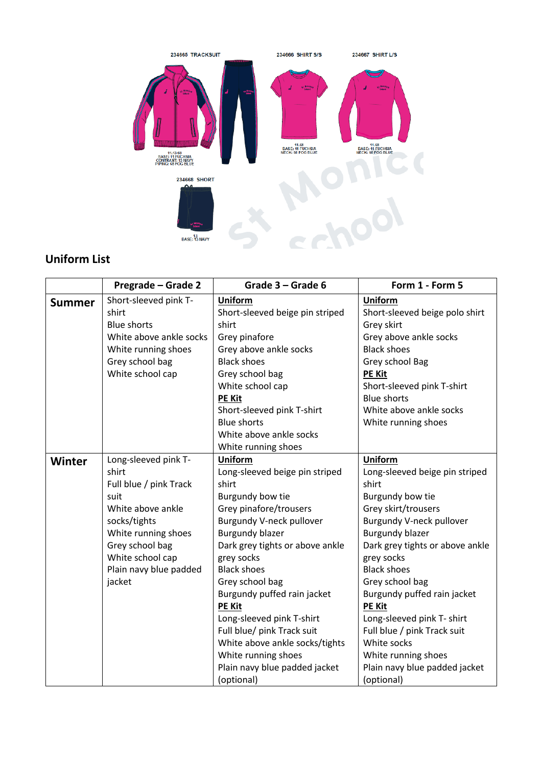

## **Uniform List**

|               | Pregrade - Grade 2                                                                                                                          | Grade 3 - Grade 6                                                                                                                                                                                                                                                                                                                                                                                             | Form 1 - Form 5                                                                                                                                                                                                                                                                                                                                                                           |
|---------------|---------------------------------------------------------------------------------------------------------------------------------------------|---------------------------------------------------------------------------------------------------------------------------------------------------------------------------------------------------------------------------------------------------------------------------------------------------------------------------------------------------------------------------------------------------------------|-------------------------------------------------------------------------------------------------------------------------------------------------------------------------------------------------------------------------------------------------------------------------------------------------------------------------------------------------------------------------------------------|
| <b>Summer</b> | Short-sleeved pink T-<br>shirt<br><b>Blue shorts</b>                                                                                        | <b>Uniform</b><br>Short-sleeved beige pin striped<br>shirt                                                                                                                                                                                                                                                                                                                                                    | <b>Uniform</b><br>Short-sleeved beige polo shirt<br>Grey skirt                                                                                                                                                                                                                                                                                                                            |
|               | White above ankle socks<br>White running shoes<br>Grey school bag<br>White school cap                                                       | Grey pinafore<br>Grey above ankle socks<br><b>Black shoes</b><br>Grey school bag<br>White school cap<br><b>PE Kit</b><br>Short-sleeved pink T-shirt<br><b>Blue shorts</b><br>White above ankle socks                                                                                                                                                                                                          | Grey above ankle socks<br><b>Black shoes</b><br>Grey school Bag<br><b>PE Kit</b><br>Short-sleeved pink T-shirt<br><b>Blue shorts</b><br>White above ankle socks<br>White running shoes                                                                                                                                                                                                    |
|               |                                                                                                                                             | White running shoes                                                                                                                                                                                                                                                                                                                                                                                           |                                                                                                                                                                                                                                                                                                                                                                                           |
| Winter        | Long-sleeved pink T-<br>shirt<br>Full blue / pink Track                                                                                     | <b>Uniform</b><br>Long-sleeved beige pin striped<br>shirt                                                                                                                                                                                                                                                                                                                                                     | <b>Uniform</b><br>Long-sleeved beige pin striped<br>shirt                                                                                                                                                                                                                                                                                                                                 |
|               | suit<br>White above ankle<br>socks/tights<br>White running shoes<br>Grey school bag<br>White school cap<br>Plain navy blue padded<br>jacket | Burgundy bow tie<br>Grey pinafore/trousers<br>Burgundy V-neck pullover<br><b>Burgundy blazer</b><br>Dark grey tights or above ankle<br>grey socks<br><b>Black shoes</b><br>Grey school bag<br>Burgundy puffed rain jacket<br><b>PE Kit</b><br>Long-sleeved pink T-shirt<br>Full blue/ pink Track suit<br>White above ankle socks/tights<br>White running shoes<br>Plain navy blue padded jacket<br>(optional) | Burgundy bow tie<br>Grey skirt/trousers<br>Burgundy V-neck pullover<br><b>Burgundy blazer</b><br>Dark grey tights or above ankle<br>grey socks<br><b>Black shoes</b><br>Grey school bag<br>Burgundy puffed rain jacket<br><b>PE Kit</b><br>Long-sleeved pink T- shirt<br>Full blue / pink Track suit<br>White socks<br>White running shoes<br>Plain navy blue padded jacket<br>(optional) |